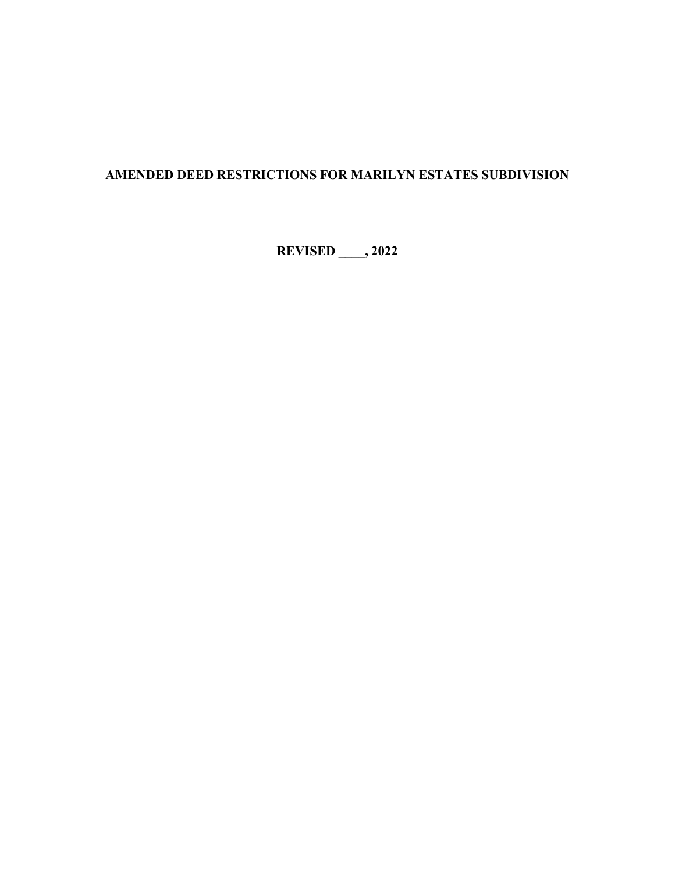# **AMENDED DEED RESTRICTIONS FOR MARILYN ESTATES SUBDIVISION**

**REVISED \_\_\_\_, 2022**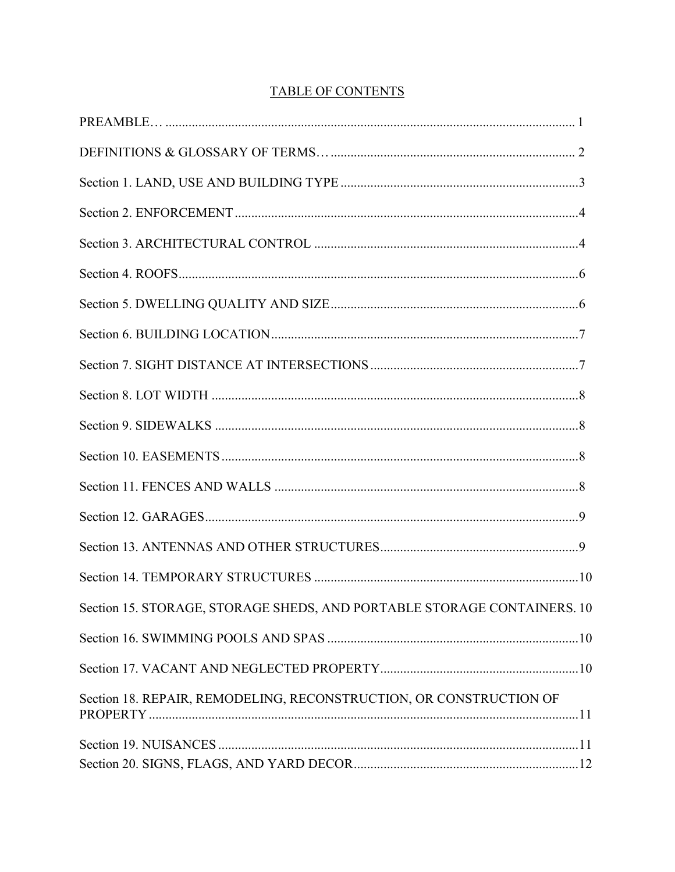| Section 15. STORAGE, STORAGE SHEDS, AND PORTABLE STORAGE CONTAINERS. 10 |
|-------------------------------------------------------------------------|
|                                                                         |
|                                                                         |
| Section 18. REPAIR, REMODELING, RECONSTRUCTION, OR CONSTRUCTION OF      |
|                                                                         |
|                                                                         |

# **TABLE OF CONTENTS**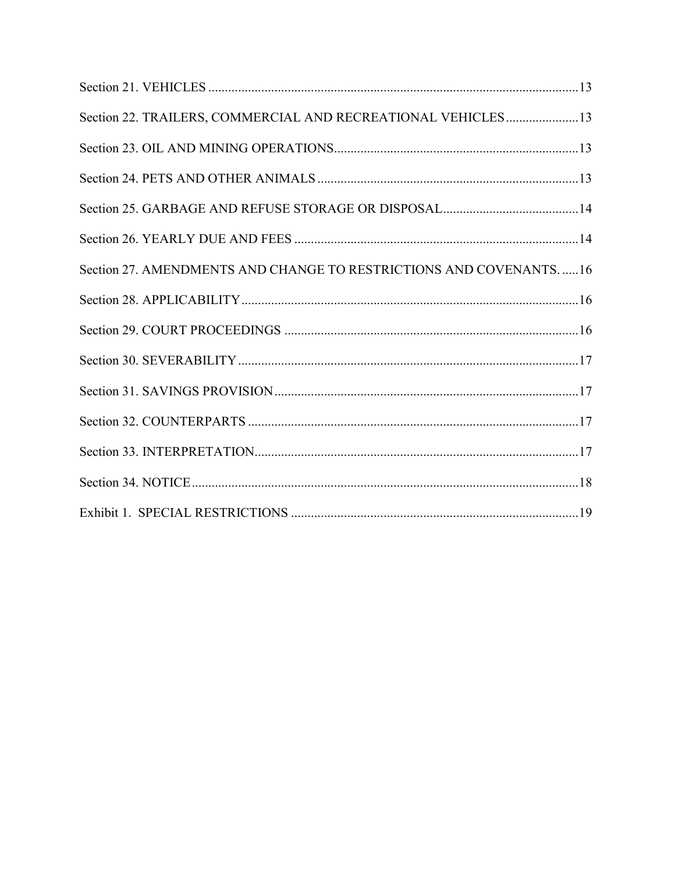| Section 22. TRAILERS, COMMERCIAL AND RECREATIONAL VEHICLES13      |
|-------------------------------------------------------------------|
|                                                                   |
|                                                                   |
|                                                                   |
|                                                                   |
| Section 27. AMENDMENTS AND CHANGE TO RESTRICTIONS AND COVENANTS16 |
|                                                                   |
|                                                                   |
|                                                                   |
|                                                                   |
|                                                                   |
|                                                                   |
|                                                                   |
|                                                                   |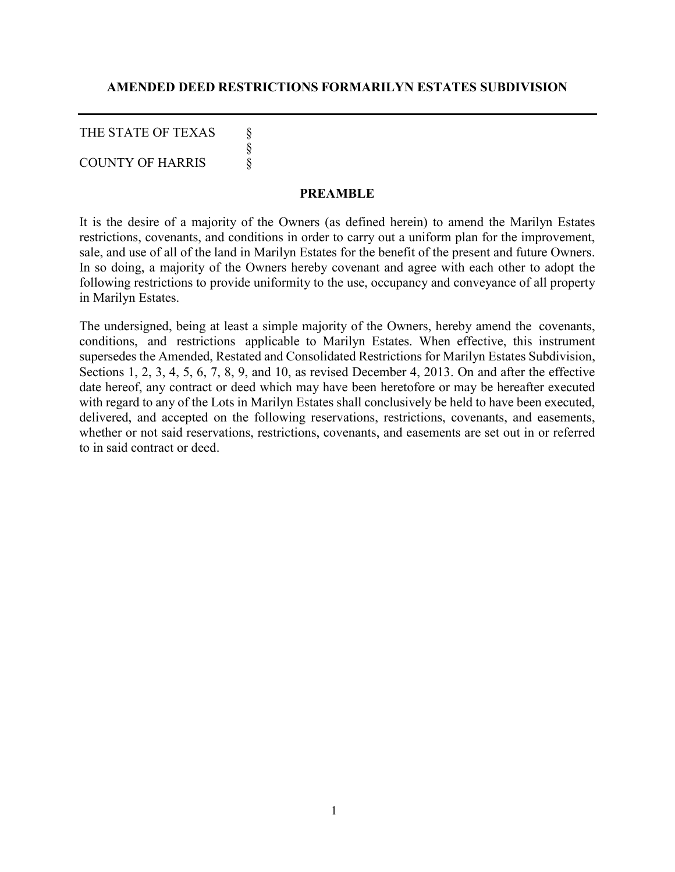#### **AMENDED DEED RESTRICTIONS FORMARILYN ESTATES SUBDIVISION**

THE STATE OF TEXAS

§<br>§<br>§

COUNTY OF HARRIS

#### **PREAMBLE**

It is the desire of a majority of the Owners (as defined herein) to amend the Marilyn Estates restrictions, covenants, and conditions in order to carry out a uniform plan for the improvement, sale, and use of all of the land in Marilyn Estates for the benefit of the present and future Owners. In so doing, a majority of the Owners hereby covenant and agree with each other to adopt the following restrictions to provide uniformity to the use, occupancy and conveyance of all property in Marilyn Estates.

The undersigned, being at least a simple majority of the Owners, hereby amend the covenants, conditions, and restrictions applicable to Marilyn Estates. When effective, this instrument supersedes the Amended, Restated and Consolidated Restrictions for Marilyn Estates Subdivision, Sections 1, 2, 3, 4, 5, 6, 7, 8, 9, and 10, as revised December 4, 2013. On and after the effective date hereof, any contract or deed which may have been heretofore or may be hereafter executed with regard to any of the Lots in Marilyn Estates shall conclusively be held to have been executed, delivered, and accepted on the following reservations, restrictions, covenants, and easements, whether or not said reservations, restrictions, covenants, and easements are set out in or referred to in said contract or deed.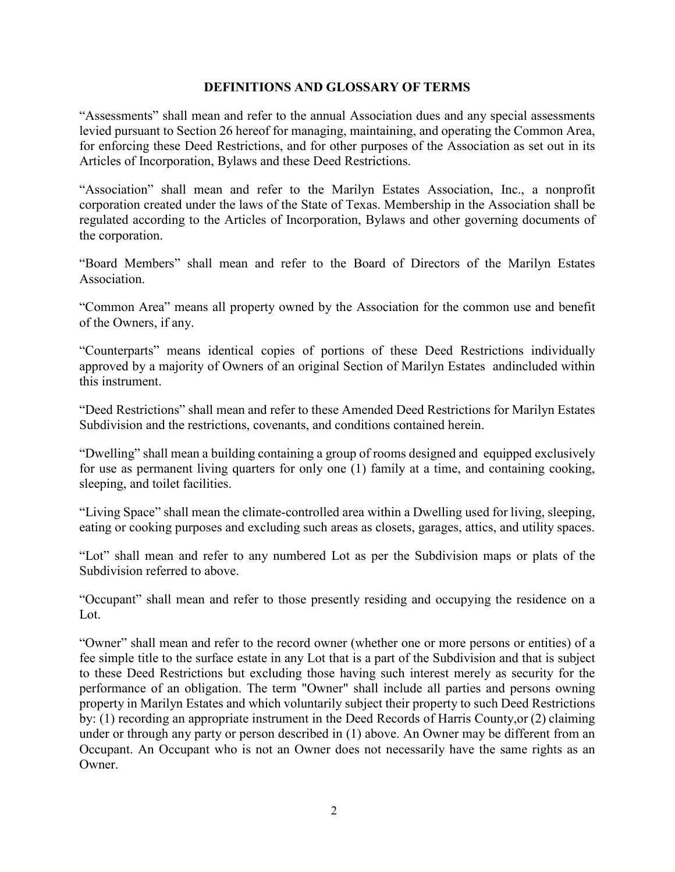#### **DEFINITIONS AND GLOSSARY OF TERMS**

"Assessments" shall mean and refer to the annual Association dues and any special assessments levied pursuant to Section 26 hereof for managing, maintaining, and operating the Common Area, for enforcing these Deed Restrictions, and for other purposes of the Association as set out in its Articles of Incorporation, Bylaws and these Deed Restrictions.

"Association" shall mean and refer to the Marilyn Estates Association, Inc., a nonprofit corporation created under the laws of the State of Texas. Membership in the Association shall be regulated according to the Articles of Incorporation, Bylaws and other governing documents of the corporation.

"Board Members" shall mean and refer to the Board of Directors of the Marilyn Estates Association.

"Common Area" means all property owned by the Association for the common use and benefit of the Owners, if any.

"Counterparts" means identical copies of portions of these Deed Restrictions individually approved by a majority of Owners of an original Section of Marilyn Estates andincluded within this instrument.

"Deed Restrictions" shall mean and refer to these Amended Deed Restrictions for Marilyn Estates Subdivision and the restrictions, covenants, and conditions contained herein.

"Dwelling" shall mean a building containing a group of rooms designed and equipped exclusively for use as permanent living quarters for only one (1) family at a time, and containing cooking, sleeping, and toilet facilities.

"Living Space" shall mean the climate-controlled area within a Dwelling used for living, sleeping, eating or cooking purposes and excluding such areas as closets, garages, attics, and utility spaces.

"Lot" shall mean and refer to any numbered Lot as per the Subdivision maps or plats of the Subdivision referred to above.

"Occupant" shall mean and refer to those presently residing and occupying the residence on a Lot.

"Owner" shall mean and refer to the record owner (whether one or more persons or entities) of a fee simple title to the surface estate in any Lot that is a part of the Subdivision and that is subject to these Deed Restrictions but excluding those having such interest merely as security for the performance of an obligation. The term "Owner" shall include all parties and persons owning property in Marilyn Estates and which voluntarily subject their property to such Deed Restrictions by: (1) recording an appropriate instrument in the Deed Records of Harris County,or (2) claiming under or through any party or person described in (1) above. An Owner may be different from an Occupant. An Occupant who is not an Owner does not necessarily have the same rights as an Owner.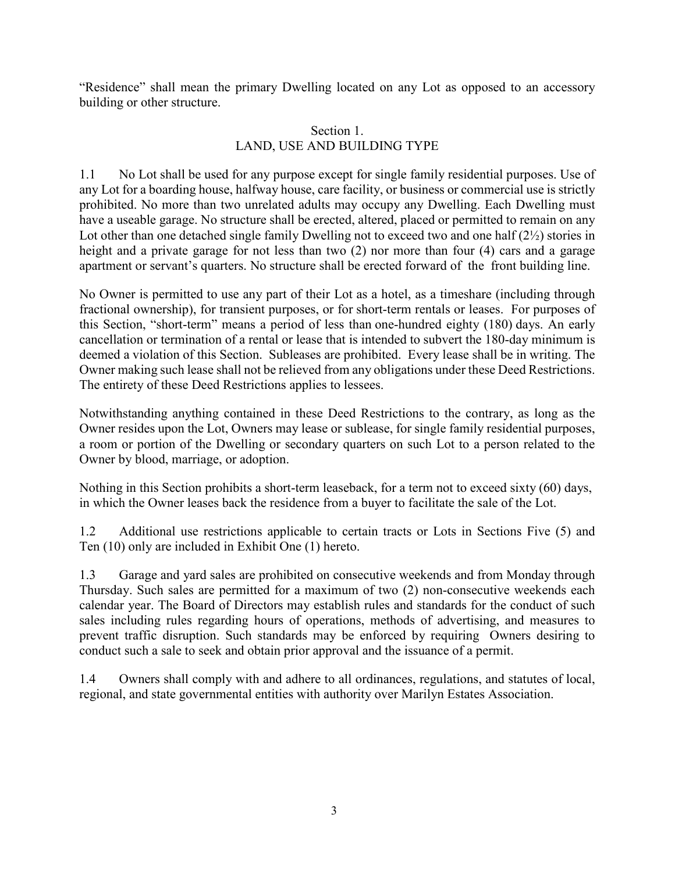"Residence" shall mean the primary Dwelling located on any Lot as opposed to an accessory building or other structure.

### Section 1. LAND, USE AND BUILDING TYPE

1.1 No Lot shall be used for any purpose except for single family residential purposes. Use of any Lot for a boarding house, halfway house, care facility, or business or commercial use is strictly prohibited. No more than two unrelated adults may occupy any Dwelling. Each Dwelling must have a useable garage. No structure shall be erected, altered, placed or permitted to remain on any Lot other than one detached single family Dwelling not to exceed two and one half (2½) stories in height and a private garage for not less than two (2) nor more than four (4) cars and a garage apartment or servant's quarters. No structure shall be erected forward of the front building line.

No Owner is permitted to use any part of their Lot as a hotel, as a timeshare (including through fractional ownership), for transient purposes, or for short-term rentals or leases. For purposes of this Section, "short-term" means a period of less than one-hundred eighty (180) days. An early cancellation or termination of a rental or lease that is intended to subvert the 180-day minimum is deemed a violation of this Section. Subleases are prohibited. Every lease shall be in writing. The Owner making such lease shall not be relieved from any obligations under these Deed Restrictions. The entirety of these Deed Restrictions applies to lessees.

Notwithstanding anything contained in these Deed Restrictions to the contrary, as long as the Owner resides upon the Lot, Owners may lease or sublease, for single family residential purposes, a room or portion of the Dwelling or secondary quarters on such Lot to a person related to the Owner by blood, marriage, or adoption.

Nothing in this Section prohibits a short-term leaseback, for a term not to exceed sixty (60) days, in which the Owner leases back the residence from a buyer to facilitate the sale of the Lot.

1.2 Additional use restrictions applicable to certain tracts or Lots in Sections Five (5) and Ten (10) only are included in Exhibit One (1) hereto.

1.3 Garage and yard sales are prohibited on consecutive weekends and from Monday through Thursday. Such sales are permitted for a maximum of two (2) non-consecutive weekends each calendar year. The Board of Directors may establish rules and standards for the conduct of such sales including rules regarding hours of operations, methods of advertising, and measures to prevent traffic disruption. Such standards may be enforced by requiring Owners desiring to conduct such a sale to seek and obtain prior approval and the issuance of a permit.

1.4 Owners shall comply with and adhere to all ordinances, regulations, and statutes of local, regional, and state governmental entities with authority over Marilyn Estates Association.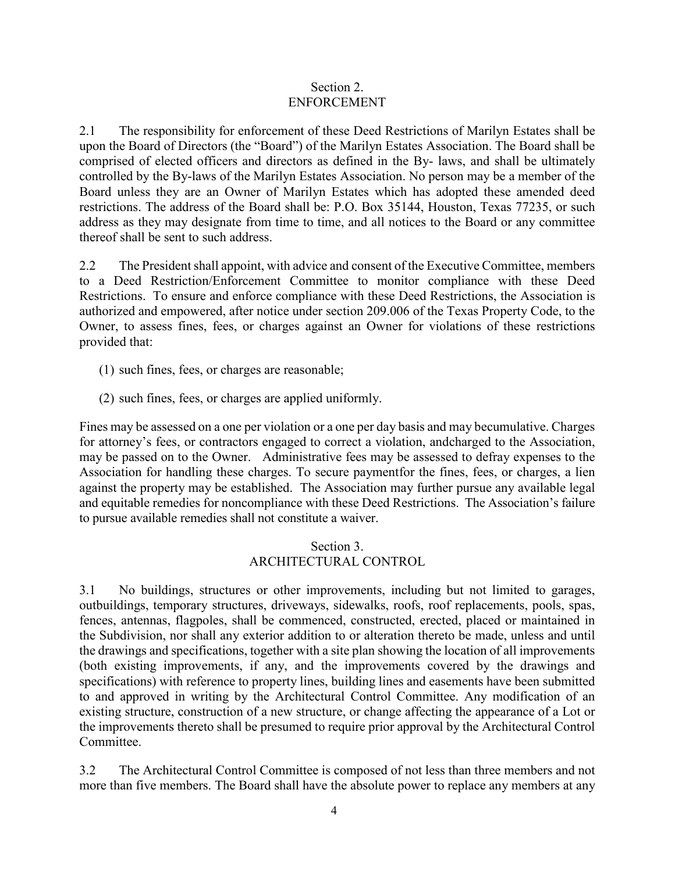#### Section 2. ENFORCEMENT

2.1 The responsibility for enforcement of these Deed Restrictions of Marilyn Estates shall be upon the Board of Directors (the "Board") of the Marilyn Estates Association. The Board shall be comprised of elected officers and directors as defined in the By- laws, and shall be ultimately controlled by the By-laws of the Marilyn Estates Association. No person may be a member of the Board unless they are an Owner of Marilyn Estates which has adopted these amended deed restrictions. The address of the Board shall be: P.O. Box 35144, Houston, Texas 77235, or such address as they may designate from time to time, and all notices to the Board or any committee thereof shall be sent to such address.

2.2 The President shall appoint, with advice and consent of the Executive Committee, members to a Deed Restriction/Enforcement Committee to monitor compliance with these Deed Restrictions. To ensure and enforce compliance with these Deed Restrictions, the Association is authorized and empowered, after notice under section 209.006 of the Texas Property Code, to the Owner, to assess fines, fees, or charges against an Owner for violations of these restrictions provided that:

- (1) such fines, fees, or charges are reasonable;
- (2) such fines, fees, or charges are applied uniformly.

Fines may be assessed on a one per violation or a one per day basis and may becumulative. Charges for attorney's fees, or contractors engaged to correct a violation, andcharged to the Association, may be passed on to the Owner. Administrative fees may be assessed to defray expenses to the Association for handling these charges. To secure paymentfor the fines, fees, or charges, a lien against the property may be established. The Association may further pursue any available legal and equitable remedies for noncompliance with these Deed Restrictions. The Association's failure to pursue available remedies shall not constitute a waiver.

### Section 3. ARCHITECTURAL CONTROL

3.1 No buildings, structures or other improvements, including but not limited to garages, outbuildings, temporary structures, driveways, sidewalks, roofs, roof replacements, pools, spas, fences, antennas, flagpoles, shall be commenced, constructed, erected, placed or maintained in the Subdivision, nor shall any exterior addition to or alteration thereto be made, unless and until the drawings and specifications, together with a site plan showing the location of all improvements (both existing improvements, if any, and the improvements covered by the drawings and specifications) with reference to property lines, building lines and easements have been submitted to and approved in writing by the Architectural Control Committee. Any modification of an existing structure, construction of a new structure, or change affecting the appearance of a Lot or the improvements thereto shall be presumed to require prior approval by the Architectural Control Committee.

3.2 The Architectural Control Committee is composed of not less than three members and not more than five members. The Board shall have the absolute power to replace any members at any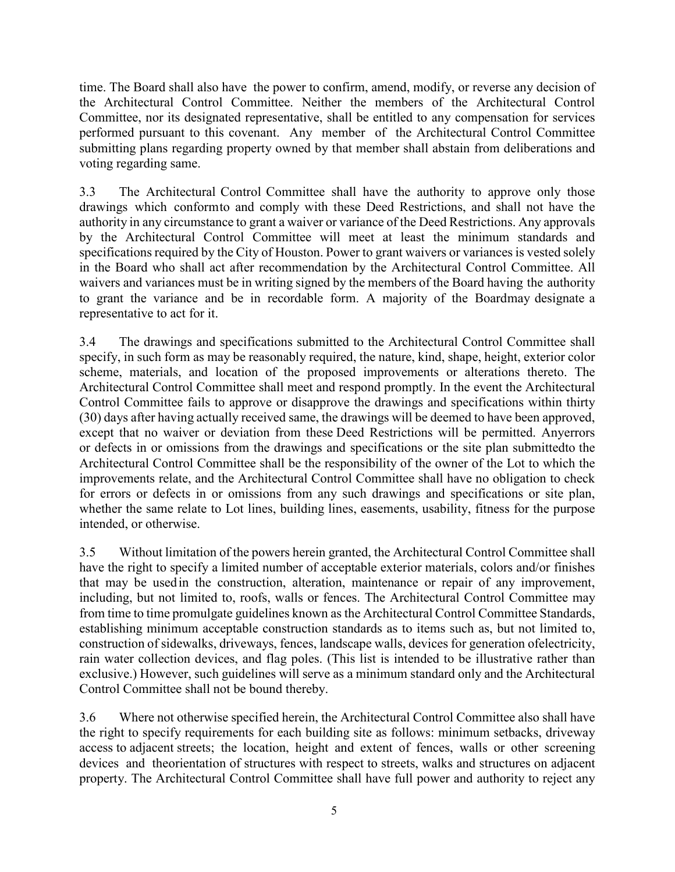time. The Board shall also have the power to confirm, amend, modify, or reverse any decision of the Architectural Control Committee. Neither the members of the Architectural Control Committee, nor its designated representative, shall be entitled to any compensation for services performed pursuant to this covenant. Any member of the Architectural Control Committee submitting plans regarding property owned by that member shall abstain from deliberations and voting regarding same.

3.3 The Architectural Control Committee shall have the authority to approve only those drawings which conformto and comply with these Deed Restrictions, and shall not have the authority in any circumstance to grant a waiver or variance of the Deed Restrictions. Any approvals by the Architectural Control Committee will meet at least the minimum standards and specifications required by the City of Houston. Power to grant waivers or variances is vested solely in the Board who shall act after recommendation by the Architectural Control Committee. All waivers and variances must be in writing signed by the members of the Board having the authority to grant the variance and be in recordable form. A majority of the Boardmay designate a representative to act for it.

3.4 The drawings and specifications submitted to the Architectural Control Committee shall specify, in such form as may be reasonably required, the nature, kind, shape, height, exterior color scheme, materials, and location of the proposed improvements or alterations thereto. The Architectural Control Committee shall meet and respond promptly. In the event the Architectural Control Committee fails to approve or disapprove the drawings and specifications within thirty (30) days after having actually received same, the drawings will be deemed to have been approved, except that no waiver or deviation from these Deed Restrictions will be permitted. Anyerrors or defects in or omissions from the drawings and specifications or the site plan submittedto the Architectural Control Committee shall be the responsibility of the owner of the Lot to which the improvements relate, and the Architectural Control Committee shall have no obligation to check for errors or defects in or omissions from any such drawings and specifications or site plan, whether the same relate to Lot lines, building lines, easements, usability, fitness for the purpose intended, or otherwise.

3.5 Without limitation of the powers herein granted, the Architectural Control Committee shall have the right to specify a limited number of acceptable exterior materials, colors and/or finishes that may be usedin the construction, alteration, maintenance or repair of any improvement, including, but not limited to, roofs, walls or fences. The Architectural Control Committee may from time to time promulgate guidelines known as the Architectural Control Committee Standards, establishing minimum acceptable construction standards as to items such as, but not limited to, construction of sidewalks, driveways, fences, landscape walls, devices for generation ofelectricity, rain water collection devices, and flag poles. (This list is intended to be illustrative rather than exclusive.) However, such guidelines will serve as a minimum standard only and the Architectural Control Committee shall not be bound thereby.

3.6 Where not otherwise specified herein, the Architectural Control Committee also shall have the right to specify requirements for each building site as follows: minimum setbacks, driveway access to adjacent streets; the location, height and extent of fences, walls or other screening devices and theorientation of structures with respect to streets, walks and structures on adjacent property. The Architectural Control Committee shall have full power and authority to reject any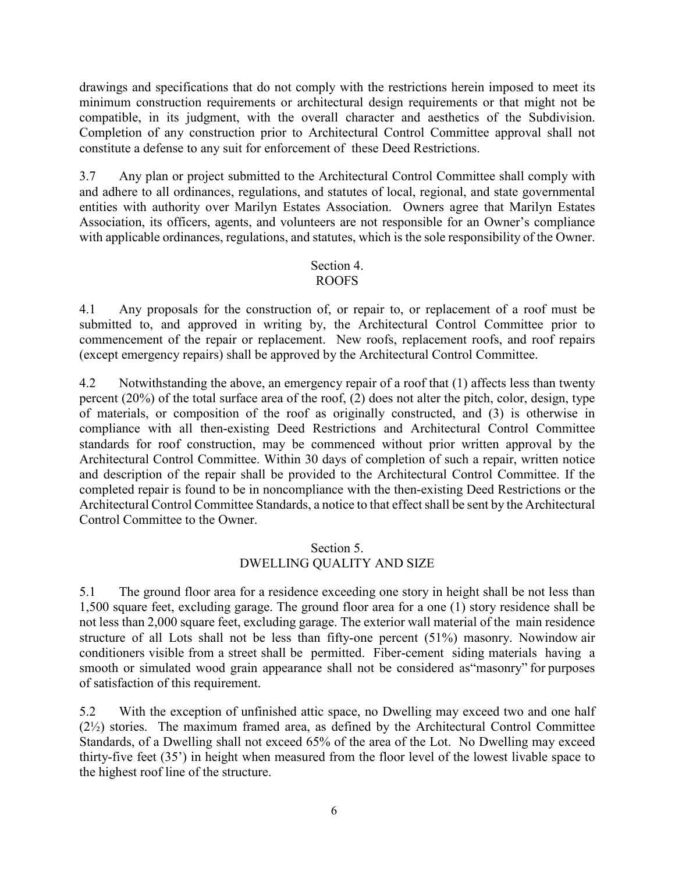drawings and specifications that do not comply with the restrictions herein imposed to meet its minimum construction requirements or architectural design requirements or that might not be compatible, in its judgment, with the overall character and aesthetics of the Subdivision. Completion of any construction prior to Architectural Control Committee approval shall not constitute a defense to any suit for enforcement of these Deed Restrictions.

3.7 Any plan or project submitted to the Architectural Control Committee shall comply with and adhere to all ordinances, regulations, and statutes of local, regional, and state governmental entities with authority over Marilyn Estates Association. Owners agree that Marilyn Estates Association, its officers, agents, and volunteers are not responsible for an Owner's compliance with applicable ordinances, regulations, and statutes, which is the sole responsibility of the Owner.

#### Section 4. ROOFS

4.1 Any proposals for the construction of, or repair to, or replacement of a roof must be submitted to, and approved in writing by, the Architectural Control Committee prior to commencement of the repair or replacement. New roofs, replacement roofs, and roof repairs (except emergency repairs) shall be approved by the Architectural Control Committee.

4.2 Notwithstanding the above, an emergency repair of a roof that (1) affects less than twenty percent (20%) of the total surface area of the roof, (2) does not alter the pitch, color, design, type of materials, or composition of the roof as originally constructed, and (3) is otherwise in compliance with all then-existing Deed Restrictions and Architectural Control Committee standards for roof construction, may be commenced without prior written approval by the Architectural Control Committee. Within 30 days of completion of such a repair, written notice and description of the repair shall be provided to the Architectural Control Committee. If the completed repair is found to be in noncompliance with the then-existing Deed Restrictions or the Architectural Control Committee Standards, a notice to that effect shall be sent by the Architectural Control Committee to the Owner.

## Section 5. DWELLING QUALITY AND SIZE

5.1 The ground floor area for a residence exceeding one story in height shall be not less than 1,500 square feet, excluding garage. The ground floor area for a one (1) story residence shall be not less than 2,000 square feet, excluding garage. The exterior wall material of the main residence structure of all Lots shall not be less than fifty-one percent (51%) masonry. Nowindow air conditioners visible from a street shall be permitted. Fiber-cement siding materials having a smooth or simulated wood grain appearance shall not be considered as"masonry" for purposes of satisfaction of this requirement.

5.2 With the exception of unfinished attic space, no Dwelling may exceed two and one half (2½) stories. The maximum framed area, as defined by the Architectural Control Committee Standards, of a Dwelling shall not exceed 65% of the area of the Lot. No Dwelling may exceed thirty-five feet (35') in height when measured from the floor level of the lowest livable space to the highest roof line of the structure.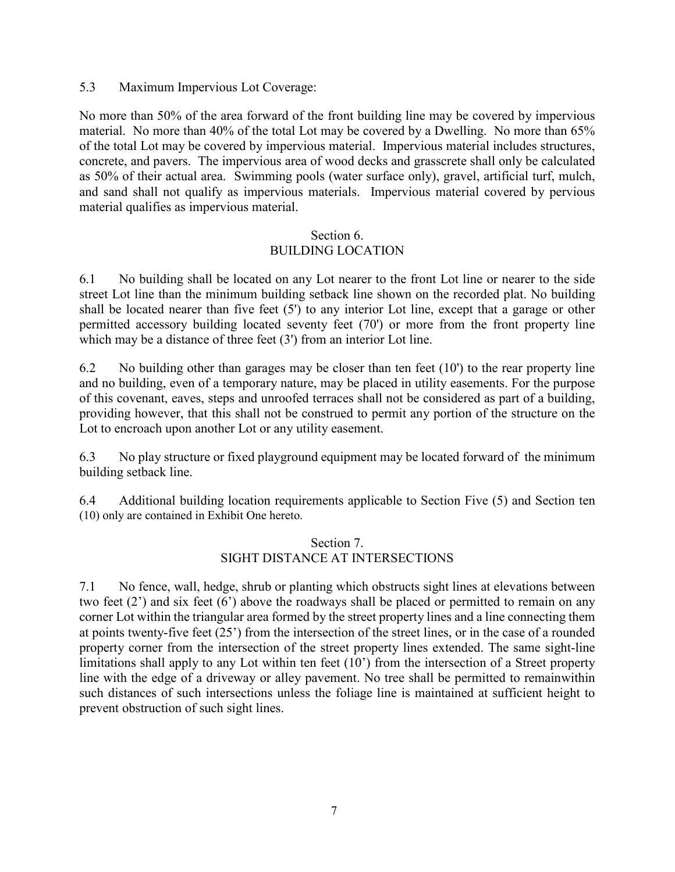## 5.3 Maximum Impervious Lot Coverage:

No more than 50% of the area forward of the front building line may be covered by impervious material. No more than 40% of the total Lot may be covered by a Dwelling. No more than 65% of the total Lot may be covered by impervious material. Impervious material includes structures, concrete, and pavers. The impervious area of wood decks and grasscrete shall only be calculated as 50% of their actual area. Swimming pools (water surface only), gravel, artificial turf, mulch, and sand shall not qualify as impervious materials. Impervious material covered by pervious material qualifies as impervious material.

#### Section 6. BUILDING LOCATION

6.1 No building shall be located on any Lot nearer to the front Lot line or nearer to the side street Lot line than the minimum building setback line shown on the recorded plat. No building shall be located nearer than five feet (5') to any interior Lot line, except that a garage or other permitted accessory building located seventy feet (70') or more from the front property line which may be a distance of three feet (3') from an interior Lot line.

6.2 No building other than garages may be closer than ten feet  $(10)$  to the rear property line and no building, even of a temporary nature, may be placed in utility easements. For the purpose of this covenant, eaves, steps and unroofed terraces shall not be considered as part of a building, providing however, that this shall not be construed to permit any portion of the structure on the Lot to encroach upon another Lot or any utility easement.

6.3 No play structure or fixed playground equipment may be located forward of the minimum building setback line.

6.4 Additional building location requirements applicable to Section Five (5) and Section ten (10) only are contained in Exhibit One hereto.

## Section 7. SIGHT DISTANCE AT INTERSECTIONS

7.1 No fence, wall, hedge, shrub or planting which obstructs sight lines at elevations between two feet (2') and six feet (6') above the roadways shall be placed or permitted to remain on any corner Lot within the triangular area formed by the street property lines and a line connecting them at points twenty-five feet (25') from the intersection of the street lines, or in the case of a rounded property corner from the intersection of the street property lines extended. The same sight-line limitations shall apply to any Lot within ten feet (10') from the intersection of a Street property line with the edge of a driveway or alley pavement. No tree shall be permitted to remainwithin such distances of such intersections unless the foliage line is maintained at sufficient height to prevent obstruction of such sight lines.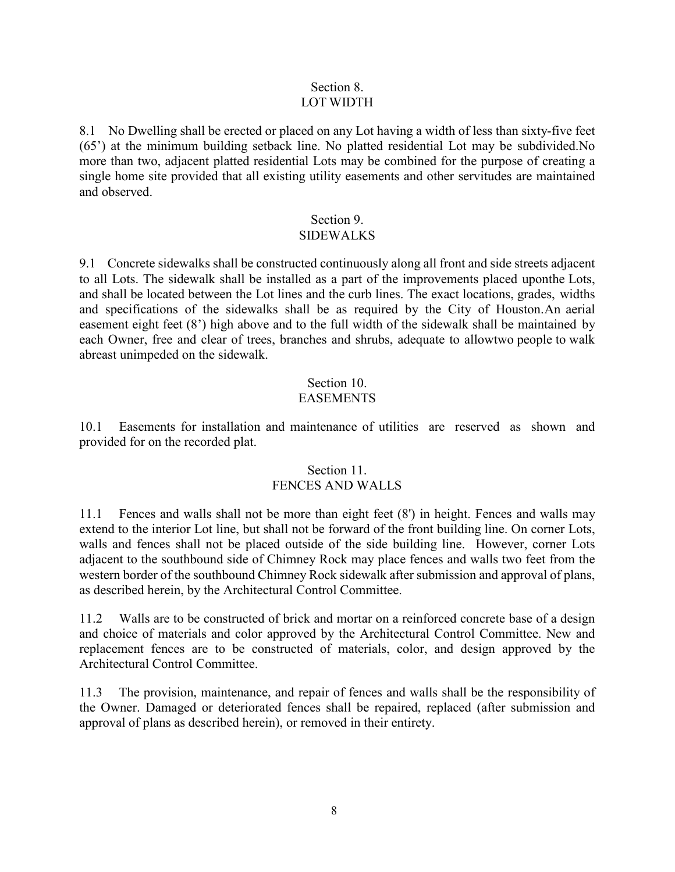### Section 8. LOT WIDTH

8.1 No Dwelling shall be erected or placed on any Lot having a width of less than sixty-five feet (65') at the minimum building setback line. No platted residential Lot may be subdivided.No more than two, adjacent platted residential Lots may be combined for the purpose of creating a single home site provided that all existing utility easements and other servitudes are maintained and observed.

# Section 9.

## SIDEWALKS

9.1 Concrete sidewalks shall be constructed continuously along all front and side streets adjacent to all Lots. The sidewalk shall be installed as a part of the improvements placed uponthe Lots, and shall be located between the Lot lines and the curb lines. The exact locations, grades, widths and specifications of the sidewalks shall be as required by the City of Houston.An aerial easement eight feet (8') high above and to the full width of the sidewalk shall be maintained by each Owner, free and clear of trees, branches and shrubs, adequate to allowtwo people to walk abreast unimpeded on the sidewalk.

#### Section 10. EASEMENTS

10.1 Easements for installation and maintenance of utilities are reserved as shown and provided for on the recorded plat.

## Section 11. FENCES AND WALLS

11.1 Fences and walls shall not be more than eight feet (8') in height. Fences and walls may extend to the interior Lot line, but shall not be forward of the front building line. On corner Lots, walls and fences shall not be placed outside of the side building line. However, corner Lots adjacent to the southbound side of Chimney Rock may place fences and walls two feet from the western border of the southbound Chimney Rock sidewalk after submission and approval of plans, as described herein, by the Architectural Control Committee.

11.2 Walls are to be constructed of brick and mortar on a reinforced concrete base of a design and choice of materials and color approved by the Architectural Control Committee. New and replacement fences are to be constructed of materials, color, and design approved by the Architectural Control Committee.

11.3 The provision, maintenance, and repair of fences and walls shall be the responsibility of the Owner. Damaged or deteriorated fences shall be repaired, replaced (after submission and approval of plans as described herein), or removed in their entirety.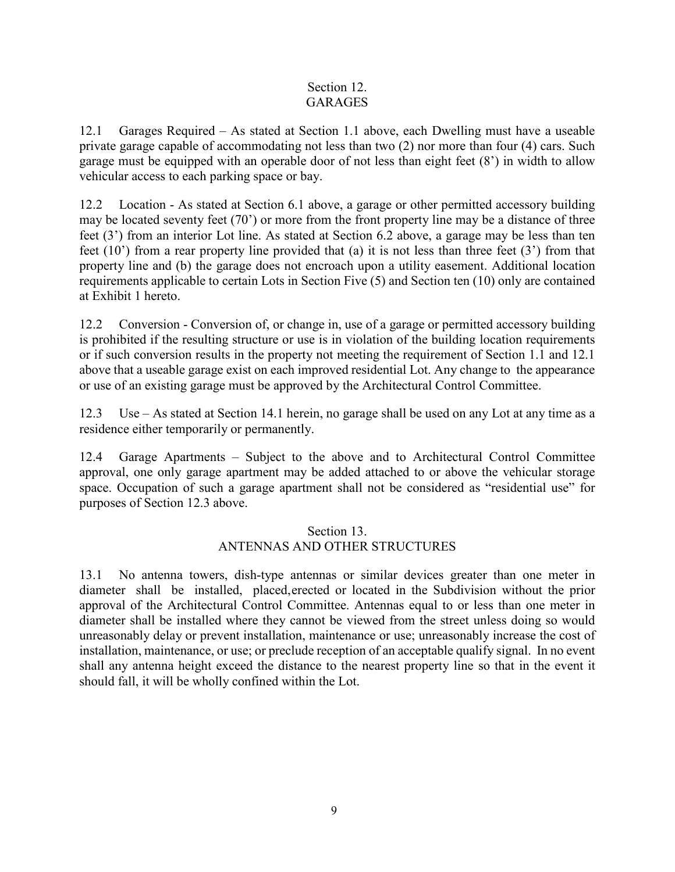## Section 12. **GARAGES**

12.1 Garages Required – As stated at Section 1.1 above, each Dwelling must have a useable private garage capable of accommodating not less than two (2) nor more than four (4) cars. Such garage must be equipped with an operable door of not less than eight feet (8') in width to allow vehicular access to each parking space or bay.

12.2 Location - As stated at Section 6.1 above, a garage or other permitted accessory building may be located seventy feet (70') or more from the front property line may be a distance of three feet (3') from an interior Lot line. As stated at Section 6.2 above, a garage may be less than ten feet (10') from a rear property line provided that (a) it is not less than three feet (3') from that property line and (b) the garage does not encroach upon a utility easement. Additional location requirements applicable to certain Lots in Section Five (5) and Section ten (10) only are contained at Exhibit 1 hereto.

12.2 Conversion - Conversion of, or change in, use of a garage or permitted accessory building is prohibited if the resulting structure or use is in violation of the building location requirements or if such conversion results in the property not meeting the requirement of Section 1.1 and 12.1 above that a useable garage exist on each improved residential Lot. Any change to the appearance or use of an existing garage must be approved by the Architectural Control Committee.

12.3 Use – As stated at Section 14.1 herein, no garage shall be used on any Lot at any time as a residence either temporarily or permanently.

12.4 Garage Apartments – Subject to the above and to Architectural Control Committee approval, one only garage apartment may be added attached to or above the vehicular storage space. Occupation of such a garage apartment shall not be considered as "residential use" for purposes of Section 12.3 above.

## Section 13. ANTENNAS AND OTHER STRUCTURES

13.1 No antenna towers, dish-type antennas or similar devices greater than one meter in diameter shall be installed, placed,erected or located in the Subdivision without the prior approval of the Architectural Control Committee. Antennas equal to or less than one meter in diameter shall be installed where they cannot be viewed from the street unless doing so would unreasonably delay or prevent installation, maintenance or use; unreasonably increase the cost of installation, maintenance, or use; or preclude reception of an acceptable qualify signal. In no event shall any antenna height exceed the distance to the nearest property line so that in the event it should fall, it will be wholly confined within the Lot.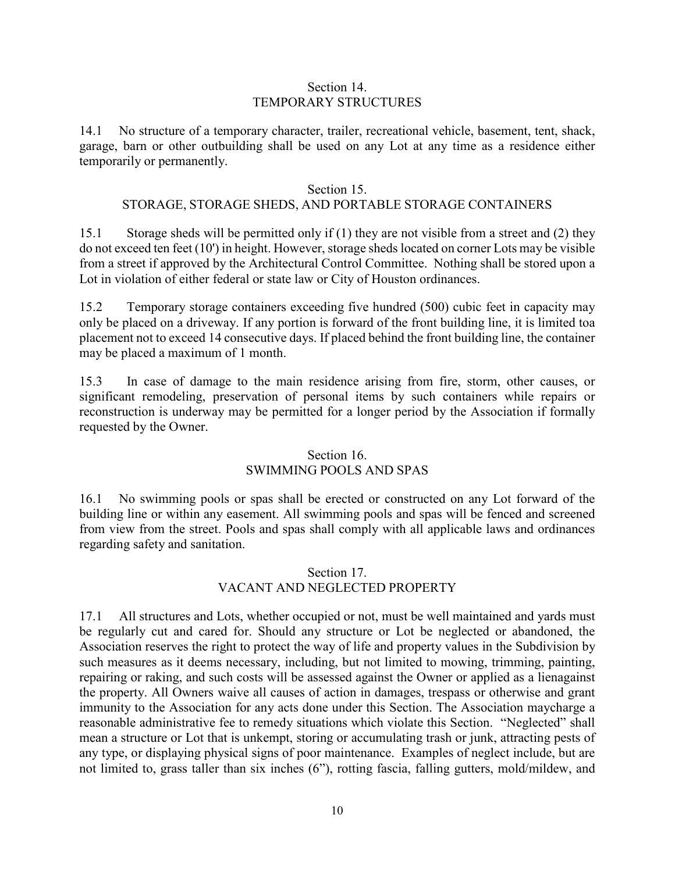#### Section 14. TEMPORARY STRUCTURES

14.1 No structure of a temporary character, trailer, recreational vehicle, basement, tent, shack, garage, barn or other outbuilding shall be used on any Lot at any time as a residence either temporarily or permanently.

### Section 15.

## STORAGE, STORAGE SHEDS, AND PORTABLE STORAGE CONTAINERS

15.1 Storage sheds will be permitted only if (1) they are not visible from a street and (2) they do not exceed ten feet (10') in height. However, storage sheds located on corner Lots may be visible from a street if approved by the Architectural Control Committee. Nothing shall be stored upon a Lot in violation of either federal or state law or City of Houston ordinances.

15.2 Temporary storage containers exceeding five hundred (500) cubic feet in capacity may only be placed on a driveway. If any portion is forward of the front building line, it is limited toa placement not to exceed 14 consecutive days. If placed behind the front building line, the container may be placed a maximum of 1 month.

15.3 In case of damage to the main residence arising from fire, storm, other causes, or significant remodeling, preservation of personal items by such containers while repairs or reconstruction is underway may be permitted for a longer period by the Association if formally requested by the Owner.

## Section 16. SWIMMING POOLS AND SPAS

16.1 No swimming pools or spas shall be erected or constructed on any Lot forward of the building line or within any easement. All swimming pools and spas will be fenced and screened from view from the street. Pools and spas shall comply with all applicable laws and ordinances regarding safety and sanitation.

## Section 17. VACANT AND NEGLECTED PROPERTY

17.1 All structures and Lots, whether occupied or not, must be well maintained and yards must be regularly cut and cared for. Should any structure or Lot be neglected or abandoned, the Association reserves the right to protect the way of life and property values in the Subdivision by such measures as it deems necessary, including, but not limited to mowing, trimming, painting, repairing or raking, and such costs will be assessed against the Owner or applied as a lienagainst the property. All Owners waive all causes of action in damages, trespass or otherwise and grant immunity to the Association for any acts done under this Section. The Association maycharge a reasonable administrative fee to remedy situations which violate this Section. "Neglected" shall mean a structure or Lot that is unkempt, storing or accumulating trash or junk, attracting pests of any type, or displaying physical signs of poor maintenance. Examples of neglect include, but are not limited to, grass taller than six inches (6"), rotting fascia, falling gutters, mold/mildew, and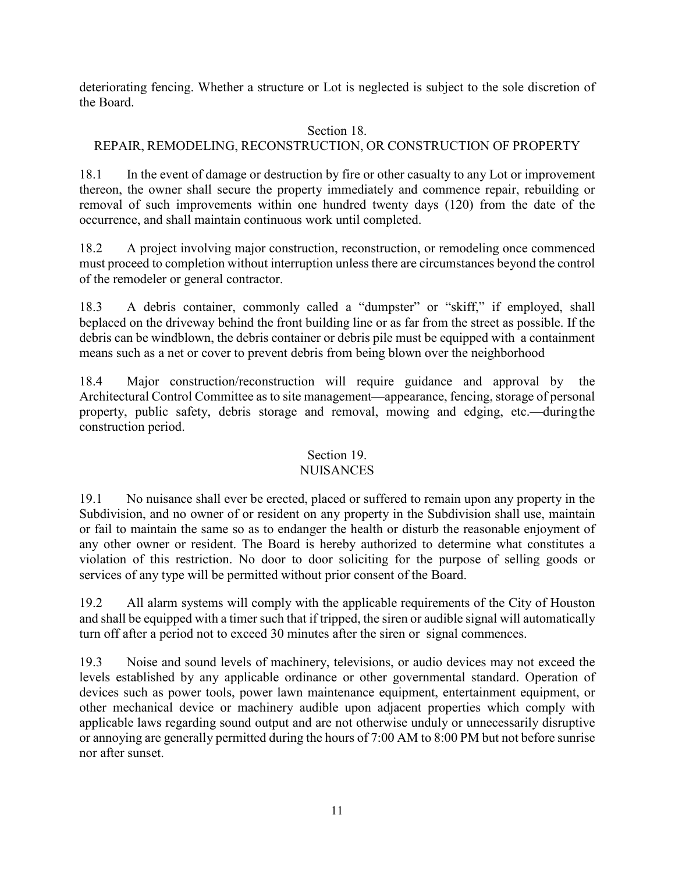deteriorating fencing. Whether a structure or Lot is neglected is subject to the sole discretion of the Board.

# Section 18.

# REPAIR, REMODELING, RECONSTRUCTION, OR CONSTRUCTION OF PROPERTY

18.1 In the event of damage or destruction by fire or other casualty to any Lot or improvement thereon, the owner shall secure the property immediately and commence repair, rebuilding or removal of such improvements within one hundred twenty days (120) from the date of the occurrence, and shall maintain continuous work until completed.

18.2 A project involving major construction, reconstruction, or remodeling once commenced must proceed to completion without interruption unless there are circumstances beyond the control of the remodeler or general contractor.

18.3 A debris container, commonly called a "dumpster" or "skiff," if employed, shall beplaced on the driveway behind the front building line or as far from the street as possible. If the debris can be windblown, the debris container or debris pile must be equipped with a containment means such as a net or cover to prevent debris from being blown over the neighborhood

18.4 Major construction/reconstruction will require guidance and approval by the Architectural Control Committee as to site management—appearance, fencing, storage of personal property, public safety, debris storage and removal, mowing and edging, etc.—duringthe construction period.

# Section 19.

## NUISANCES

19.1 No nuisance shall ever be erected, placed or suffered to remain upon any property in the Subdivision, and no owner of or resident on any property in the Subdivision shall use, maintain or fail to maintain the same so as to endanger the health or disturb the reasonable enjoyment of any other owner or resident. The Board is hereby authorized to determine what constitutes a violation of this restriction. No door to door soliciting for the purpose of selling goods or services of any type will be permitted without prior consent of the Board.

19.2 All alarm systems will comply with the applicable requirements of the City of Houston and shall be equipped with a timer such that if tripped, the siren or audible signal will automatically turn off after a period not to exceed 30 minutes after the siren or signal commences.

19.3 Noise and sound levels of machinery, televisions, or audio devices may not exceed the levels established by any applicable ordinance or other governmental standard. Operation of devices such as power tools, power lawn maintenance equipment, entertainment equipment, or other mechanical device or machinery audible upon adjacent properties which comply with applicable laws regarding sound output and are not otherwise unduly or unnecessarily disruptive or annoying are generally permitted during the hours of 7:00 AM to 8:00 PM but not before sunrise nor after sunset.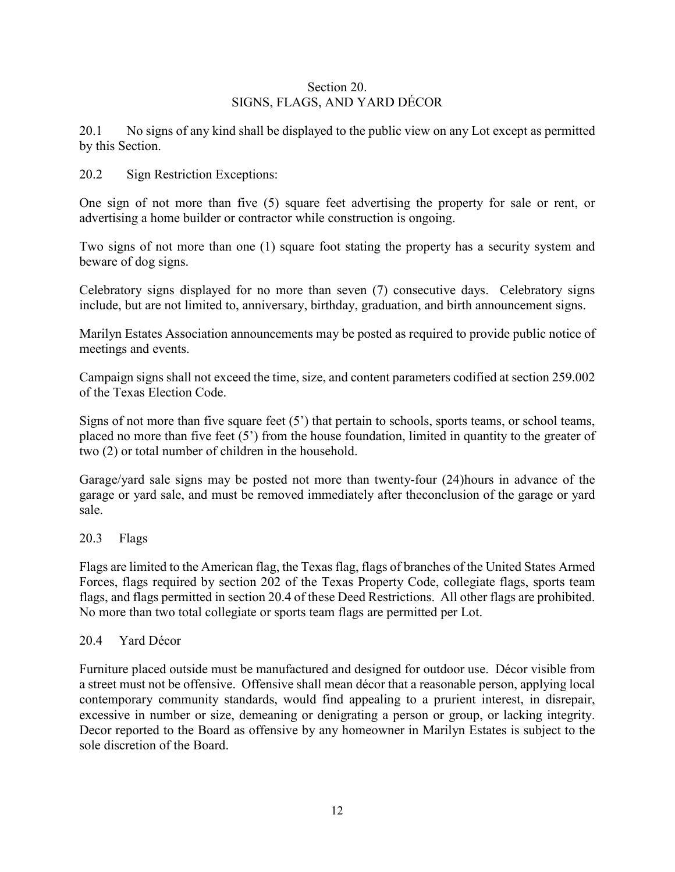## Section 20. SIGNS, FLAGS, AND YARD DÉCOR

20.1 No signs of any kind shall be displayed to the public view on any Lot except as permitted by this Section.

## 20.2 Sign Restriction Exceptions:

One sign of not more than five (5) square feet advertising the property for sale or rent, or advertising a home builder or contractor while construction is ongoing.

Two signs of not more than one (1) square foot stating the property has a security system and beware of dog signs.

Celebratory signs displayed for no more than seven (7) consecutive days. Celebratory signs include, but are not limited to, anniversary, birthday, graduation, and birth announcement signs.

Marilyn Estates Association announcements may be posted as required to provide public notice of meetings and events.

Campaign signs shall not exceed the time, size, and content parameters codified at section 259.002 of the Texas Election Code.

Signs of not more than five square feet (5') that pertain to schools, sports teams, or school teams, placed no more than five feet  $(5')$  from the house foundation, limited in quantity to the greater of two (2) or total number of children in the household.

Garage/yard sale signs may be posted not more than twenty-four (24)hours in advance of the garage or yard sale, and must be removed immediately after theconclusion of the garage or yard sale.

## 20.3 Flags

Flags are limited to the American flag, the Texas flag, flags of branches of the United States Armed Forces, flags required by section 202 of the Texas Property Code, collegiate flags, sports team flags, and flags permitted in section 20.4 of these Deed Restrictions. All other flags are prohibited. No more than two total collegiate or sports team flags are permitted per Lot.

### 20.4 Yard Décor

Furniture placed outside must be manufactured and designed for outdoor use. Décor visible from a street must not be offensive. Offensive shall mean décor that a reasonable person, applying local contemporary community standards, would find appealing to a prurient interest, in disrepair, excessive in number or size, demeaning or denigrating a person or group, or lacking integrity. Decor reported to the Board as offensive by any homeowner in Marilyn Estates is subject to the sole discretion of the Board.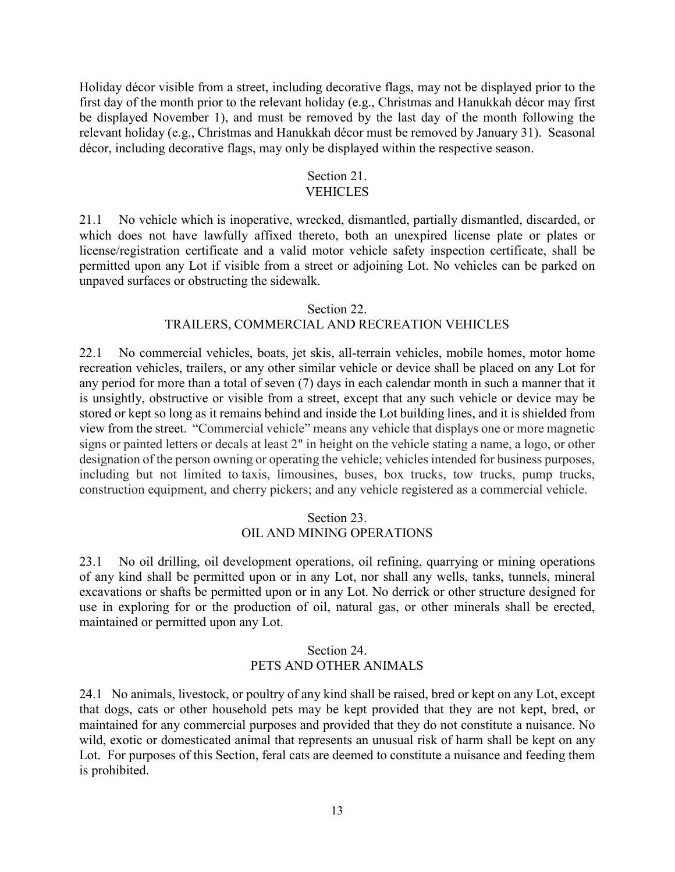Holiday décor visible from a street, including decorative flags, may not be displayed prior to the first day of the month prior to the relevant holiday (e.g., Christmas and Hanukkah décor may first be displayed November 1), and must be removed by the last day of the month following the relevant holiday (e.g., Christmas and Hanukkah décor must be removed by January 31). Seasonal décor, including decorative flags, may only be displayed within the respective season.

# Section 21.

## **VEHICLES**

21.1 No vehicle which is inoperative, wrecked, dismantled, partially dismantled, discarded, or which does not have lawfully affixed thereto, both an unexpired license plate or plates or license/registration certificate and a valid motor vehicle safety inspection certificate, shall be permitted upon any Lot if visible from a street or adjoining Lot. No vehicles can be parked on unpaved surfaces or obstructing the sidewalk.

#### Section 22.

## TRAILERS, COMMERCIAL AND RECREATION VEHICLES

22.1 No commercial vehicles, boats, jet skis, all-terrain vehicles, mobile homes, motor home recreation vehicles, trailers, or any other similar vehicle or device shall be placed on any Lot for any period for more than a total of seven (7) days in each calendar month in such a manner that it is unsightly, obstructive or visible from a street, except that any such vehicle or device may be stored or kept so long as it remains behind and inside the Lot building lines, and it is shielded from view from the street. "Commercial vehicle" means any vehicle that displays one or more magnetic signs or painted letters or decals at least 2" in height on the vehicle stating a name, a logo, or other designation of the person owning or operating the vehicle; vehicles intended for business purposes, including but not limited to taxis, limousines, buses, box trucks, tow trucks, pump trucks, construction equipment, and cherry pickers; and any vehicle registered as a commercial vehicle.

### Section 23. OIL AND MINING OPERATIONS

23.1 No oil drilling, oil development operations, oil refining, quarrying or mining operations of any kind shall be permitted upon or in any Lot, nor shall any wells, tanks, tunnels, mineral excavations or shafts be permitted upon or in any Lot. No derrick or other structure designed for use in exploring for or the production of oil, natural gas, or other minerals shall be erected, maintained or permitted upon any Lot.

## Section 24. PETS AND OTHER ANIMALS

24.1 No animals, livestock, or poultry of any kind shall be raised, bred or kept on any Lot, except that dogs, cats or other household pets may be kept provided that they are not kept, bred, or maintained for any commercial purposes and provided that they do not constitute a nuisance. No wild, exotic or domesticated animal that represents an unusual risk of harm shall be kept on any Lot. For purposes of this Section, feral cats are deemed to constitute a nuisance and feeding them is prohibited.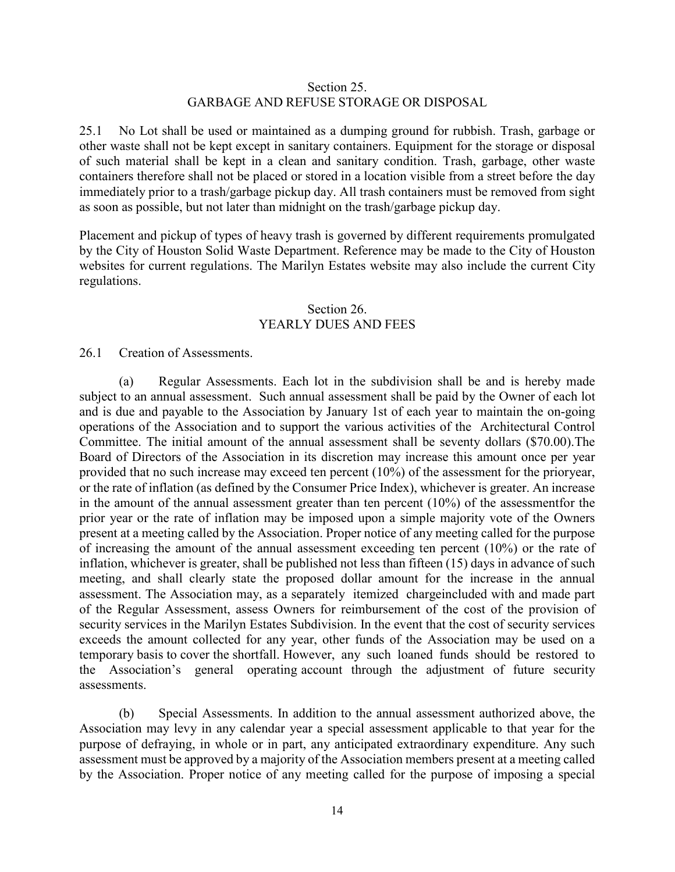#### Section 25. GARBAGE AND REFUSE STORAGE OR DISPOSAL

25.1 No Lot shall be used or maintained as a dumping ground for rubbish. Trash, garbage or other waste shall not be kept except in sanitary containers. Equipment for the storage or disposal of such material shall be kept in a clean and sanitary condition. Trash, garbage, other waste containers therefore shall not be placed or stored in a location visible from a street before the day immediately prior to a trash/garbage pickup day. All trash containers must be removed from sight as soon as possible, but not later than midnight on the trash/garbage pickup day.

Placement and pickup of types of heavy trash is governed by different requirements promulgated by the City of Houston Solid Waste Department. Reference may be made to the City of Houston websites for current regulations. The Marilyn Estates website may also include the current City regulations.

#### Section 26. YEARLY DUES AND FEES

#### 26.1 Creation of Assessments.

(a) Regular Assessments. Each lot in the subdivision shall be and is hereby made subject to an annual assessment. Such annual assessment shall be paid by the Owner of each lot and is due and payable to the Association by January 1st of each year to maintain the on-going operations of the Association and to support the various activities of the Architectural Control Committee. The initial amount of the annual assessment shall be seventy dollars (\$70.00).The Board of Directors of the Association in its discretion may increase this amount once per year provided that no such increase may exceed ten percent (10%) of the assessment for the prioryear, or the rate of inflation (as defined by the Consumer Price Index), whichever is greater. An increase in the amount of the annual assessment greater than ten percent (10%) of the assessmentfor the prior year or the rate of inflation may be imposed upon a simple majority vote of the Owners present at a meeting called by the Association. Proper notice of any meeting called for the purpose of increasing the amount of the annual assessment exceeding ten percent (10%) or the rate of inflation, whichever is greater, shall be published not less than fifteen (15) days in advance of such meeting, and shall clearly state the proposed dollar amount for the increase in the annual assessment. The Association may, as a separately itemized chargeincluded with and made part of the Regular Assessment, assess Owners for reimbursement of the cost of the provision of security services in the Marilyn Estates Subdivision. In the event that the cost of security services exceeds the amount collected for any year, other funds of the Association may be used on a temporary basis to cover the shortfall. However, any such loaned funds should be restored to the Association's general operating account through the adjustment of future security assessments.

(b) Special Assessments. In addition to the annual assessment authorized above, the Association may levy in any calendar year a special assessment applicable to that year for the purpose of defraying, in whole or in part, any anticipated extraordinary expenditure. Any such assessment must be approved by a majority of the Association members present at a meeting called by the Association. Proper notice of any meeting called for the purpose of imposing a special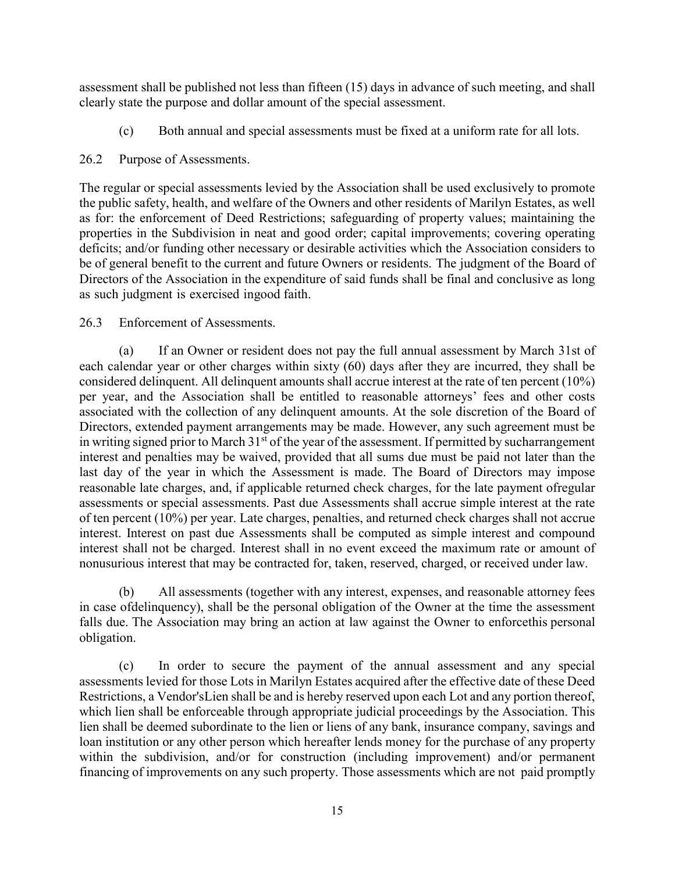assessment shall be published not less than fifteen (15) days in advance of such meeting, and shall clearly state the purpose and dollar amount of the special assessment.

(c) Both annual and special assessments must be fixed at a uniform rate for all lots.

## 26.2 Purpose of Assessments.

The regular or special assessments levied by the Association shall be used exclusively to promote the public safety, health, and welfare of the Owners and other residents of Marilyn Estates, as well as for: the enforcement of Deed Restrictions; safeguarding of property values; maintaining the properties in the Subdivision in neat and good order; capital improvements; covering operating deficits; and/or funding other necessary or desirable activities which the Association considers to be of general benefit to the current and future Owners or residents. The judgment of the Board of Directors of the Association in the expenditure of said funds shall be final and conclusive as long as such judgment is exercised ingood faith.

## 26.3 Enforcement of Assessments.

(a) If an Owner or resident does not pay the full annual assessment by March 31st of each calendar year or other charges within sixty (60) days after they are incurred, they shall be considered delinquent. All delinquent amounts shall accrue interest at the rate of ten percent (10%) per year, and the Association shall be entitled to reasonable attorneys' fees and other costs associated with the collection of any delinquent amounts. At the sole discretion of the Board of Directors, extended payment arrangements may be made. However, any such agreement must be in writing signed prior to March  $31<sup>st</sup>$  of the year of the assessment. If permitted by sucharrangement interest and penalties may be waived, provided that all sums due must be paid not later than the last day of the year in which the Assessment is made. The Board of Directors may impose reasonable late charges, and, if applicable returned check charges, for the late payment ofregular assessments or special assessments. Past due Assessments shall accrue simple interest at the rate of ten percent (10%) per year. Late charges, penalties, and returned check charges shall not accrue interest. Interest on past due Assessments shall be computed as simple interest and compound interest shall not be charged. Interest shall in no event exceed the maximum rate or amount of nonusurious interest that may be contracted for, taken, reserved, charged, or received under law.

(b) All assessments (together with any interest, expenses, and reasonable attorney fees in case ofdelinquency), shall be the personal obligation of the Owner at the time the assessment falls due. The Association may bring an action at law against the Owner to enforcethis personal obligation.

(c) In order to secure the payment of the annual assessment and any special assessments levied for those Lots in Marilyn Estates acquired after the effective date of these Deed Restrictions, a Vendor'sLien shall be and is hereby reserved upon each Lot and any portion thereof, which lien shall be enforceable through appropriate judicial proceedings by the Association. This lien shall be deemed subordinate to the lien or liens of any bank, insurance company, savings and loan institution or any other person which hereafter lends money for the purchase of any property within the subdivision, and/or for construction (including improvement) and/or permanent financing of improvements on any such property. Those assessments which are not paid promptly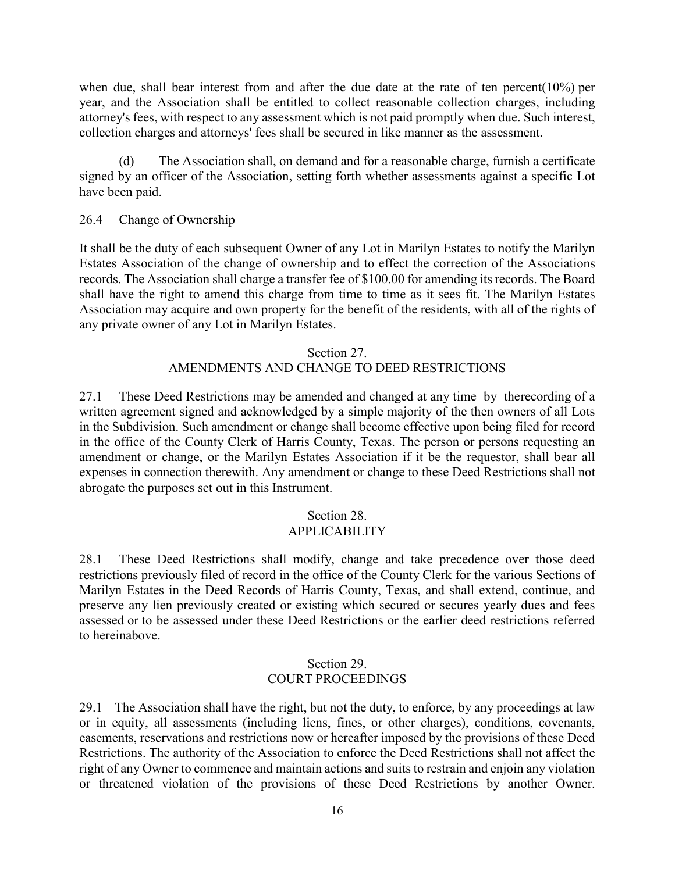when due, shall bear interest from and after the due date at the rate of ten percent(10%) per year, and the Association shall be entitled to collect reasonable collection charges, including attorney's fees, with respect to any assessment which is not paid promptly when due. Such interest, collection charges and attorneys' fees shall be secured in like manner as the assessment.

(d) The Association shall, on demand and for a reasonable charge, furnish a certificate signed by an officer of the Association, setting forth whether assessments against a specific Lot have been paid.

#### 26.4 Change of Ownership

It shall be the duty of each subsequent Owner of any Lot in Marilyn Estates to notify the Marilyn Estates Association of the change of ownership and to effect the correction of the Associations records. The Association shall charge a transfer fee of \$100.00 for amending its records. The Board shall have the right to amend this charge from time to time as it sees fit. The Marilyn Estates Association may acquire and own property for the benefit of the residents, with all of the rights of any private owner of any Lot in Marilyn Estates.

#### Section 27.

#### AMENDMENTS AND CHANGE TO DEED RESTRICTIONS

27.1 These Deed Restrictions may be amended and changed at any time by therecording of a written agreement signed and acknowledged by a simple majority of the then owners of all Lots in the Subdivision. Such amendment or change shall become effective upon being filed for record in the office of the County Clerk of Harris County, Texas. The person or persons requesting an amendment or change, or the Marilyn Estates Association if it be the requestor, shall bear all expenses in connection therewith. Any amendment or change to these Deed Restrictions shall not abrogate the purposes set out in this Instrument.

# Section 28.

# APPLICABILITY

28.1 These Deed Restrictions shall modify, change and take precedence over those deed restrictions previously filed of record in the office of the County Clerk for the various Sections of Marilyn Estates in the Deed Records of Harris County, Texas, and shall extend, continue, and preserve any lien previously created or existing which secured or secures yearly dues and fees assessed or to be assessed under these Deed Restrictions or the earlier deed restrictions referred to hereinabove.

#### Section 29. COURT PROCEEDINGS

29.1 The Association shall have the right, but not the duty, to enforce, by any proceedings at law or in equity, all assessments (including liens, fines, or other charges), conditions, covenants, easements, reservations and restrictions now or hereafter imposed by the provisions of these Deed Restrictions. The authority of the Association to enforce the Deed Restrictions shall not affect the right of any Owner to commence and maintain actions and suits to restrain and enjoin any violation or threatened violation of the provisions of these Deed Restrictions by another Owner.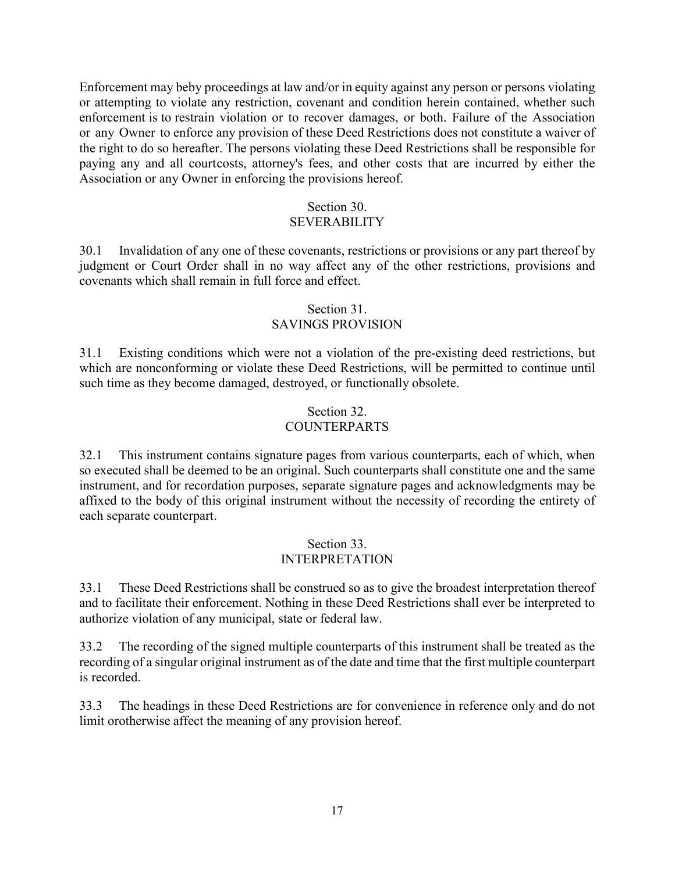Enforcement may beby proceedings at law and/or in equity against any person or persons violating or attempting to violate any restriction, covenant and condition herein contained, whether such enforcement is to restrain violation or to recover damages, or both. Failure of the Association or any Owner to enforce any provision of these Deed Restrictions does not constitute a waiver of the right to do so hereafter. The persons violating these Deed Restrictions shall be responsible for paying any and all courtcosts, attorney's fees, and other costs that are incurred by either the Association or any Owner in enforcing the provisions hereof.

#### Section 30. SEVERABILITY

30.1 Invalidation of any one of these covenants, restrictions or provisions or any part thereof by judgment or Court Order shall in no way affect any of the other restrictions, provisions and covenants which shall remain in full force and effect.

## Section 31. SAVINGS PROVISION

31.1 Existing conditions which were not a violation of the pre-existing deed restrictions, but which are nonconforming or violate these Deed Restrictions, will be permitted to continue until such time as they become damaged, destroyed, or functionally obsolete.

## Section 32. COUNTERPARTS

32.1 This instrument contains signature pages from various counterparts, each of which, when so executed shall be deemed to be an original. Such counterparts shall constitute one and the same instrument, and for recordation purposes, separate signature pages and acknowledgments may be affixed to the body of this original instrument without the necessity of recording the entirety of each separate counterpart.

### Section 33. INTERPRETATION

33.1 These Deed Restrictions shall be construed so as to give the broadest interpretation thereof and to facilitate their enforcement. Nothing in these Deed Restrictions shall ever be interpreted to authorize violation of any municipal, state or federal law.

33.2 The recording of the signed multiple counterparts of this instrument shall be treated as the recording of a singular original instrument as of the date and time that the first multiple counterpart is recorded.

33.3 The headings in these Deed Restrictions are for convenience in reference only and do not limit orotherwise affect the meaning of any provision hereof.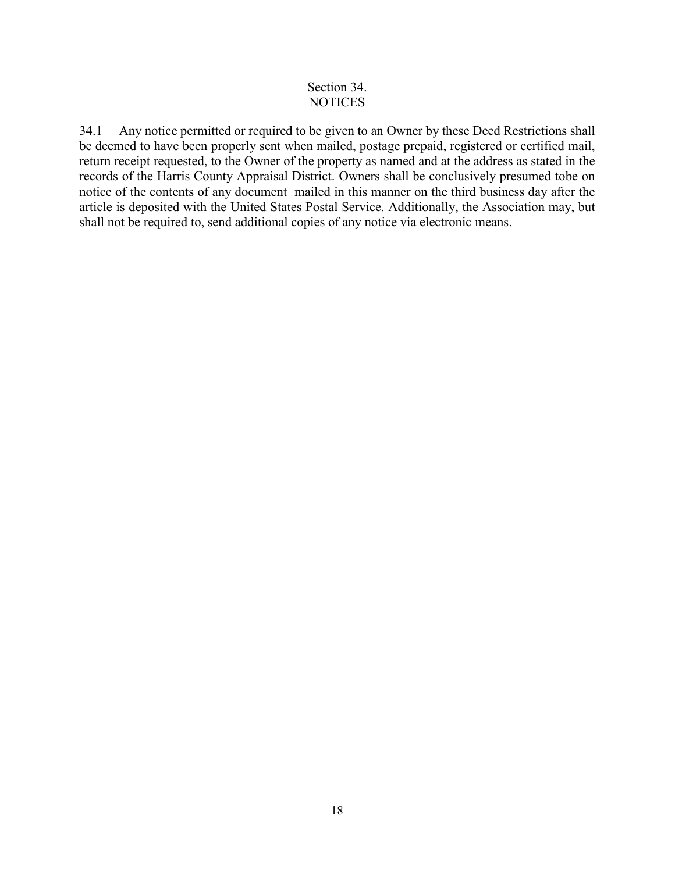## Section 34. **NOTICES**

34.1 Any notice permitted or required to be given to an Owner by these Deed Restrictions shall be deemed to have been properly sent when mailed, postage prepaid, registered or certified mail, return receipt requested, to the Owner of the property as named and at the address as stated in the records of the Harris County Appraisal District. Owners shall be conclusively presumed tobe on notice of the contents of any document mailed in this manner on the third business day after the article is deposited with the United States Postal Service. Additionally, the Association may, but shall not be required to, send additional copies of any notice via electronic means.